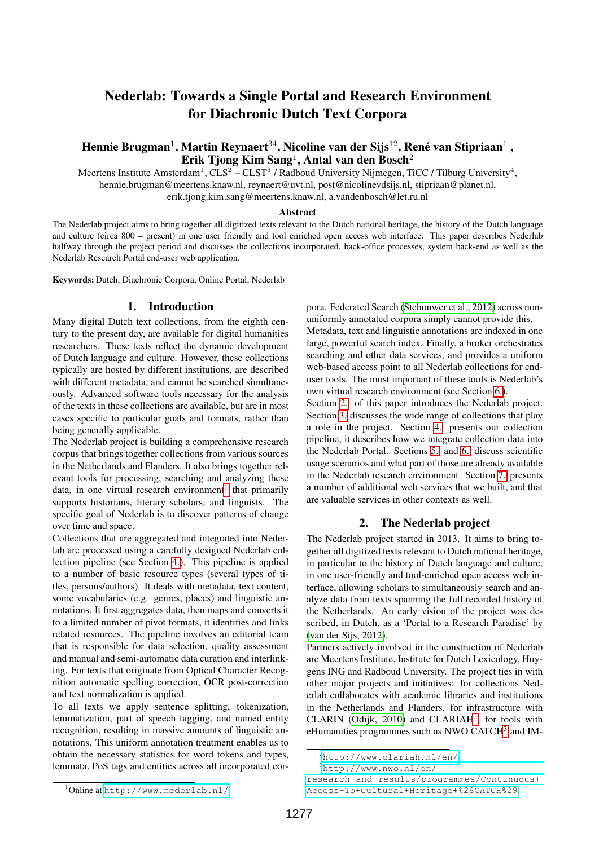# Nederlab: Towards a Single Portal and Research Environment for Diachronic Dutch Text Corpora

## Hennie Brugman $^1$ , Martin Reynaert $^{34}$ , Nicoline van der Sijs $^{12}$ , René van Stipriaan $^1$  , Erik Tjong Kim Sang<sup>1</sup>, Antal van den Bosch<sup>2</sup>

Meertens Institute Amsterdam<sup>1</sup>, CLS<sup>2</sup> – CLST<sup>3</sup> / Radboud University Nijmegen, TiCC / Tilburg University<sup>4</sup>, hennie.brugman@meertens.knaw.nl, reynaert@uvt.nl, post@nicolinevdsijs.nl, stipriaan@planet.nl, erik.tjong.kim.sang@meertens.knaw.nl, a.vandenbosch@let.ru.nl

#### Abstract

The Nederlab project aims to bring together all digitized texts relevant to the Dutch national heritage, the history of the Dutch language and culture (circa 800 – present) in one user friendly and tool enriched open access web interface. This paper describes Nederlab halfway through the project period and discusses the collections incorporated, back-office processes, system back-end as well as the Nederlab Research Portal end-user web application.

Keywords: Dutch, Diachronic Corpora, Online Portal, Nederlab

## 1. Introduction

Many digital Dutch text collections, from the eighth century to the present day, are available for digital humanities researchers. These texts reflect the dynamic development of Dutch language and culture. However, these collections typically are hosted by different institutions, are described with different metadata, and cannot be searched simultaneously. Advanced software tools necessary for the analysis of the texts in these collections are available, but are in most cases specific to particular goals and formats, rather than being generally applicable.

The Nederlab project is building a comprehensive research corpus that brings together collections from various sources in the Netherlands and Flanders. It also brings together relevant tools for processing, searching and analyzing these data, in one virtual research environment<sup>[1](#page-0-0)</sup> that primarily supports historians, literary scholars, and linguists. The specific goal of Nederlab is to discover patterns of change over time and space.

Collections that are aggregated and integrated into Nederlab are processed using a carefully designed Nederlab collection pipeline (see Section [4.\)](#page-1-0). This pipeline is applied to a number of basic resource types (several types of titles, persons/authors). It deals with metadata, text content, some vocabularies (e.g. genres, places) and linguistic annotations. It first aggregates data, then maps and converts it to a limited number of pivot formats, it identifies and links related resources. The pipeline involves an editorial team that is responsible for data selection, quality assessment and manual and semi-automatic data curation and interlinking. For texts that originate from Optical Character Recognition automatic spelling correction, OCR post-correction and text normalization is applied.

To all texts we apply sentence splitting, tokenization, lemmatization, part of speech tagging, and named entity recognition, resulting in massive amounts of linguistic annotations. This uniform annotation treatment enables us to obtain the necessary statistics for word tokens and types, lemmata, PoS tags and entities across all incorporated corpora. Federated Search [\(Stehouwer et al., 2012\)](#page-4-0) across nonuniformly annotated corpora simply cannot provide this. Metadata, text and linguistic annotations are indexed in one large, powerful search index. Finally, a broker orchestrates searching and other data services, and provides a uniform web-based access point to all Nederlab collections for enduser tools. The most important of these tools is Nederlab's own virtual research environment (see Section [6.\)](#page-3-0).

Section [2.](#page-0-1) of this paper introduces the Nederlab project. Section [3.](#page-1-1) discusses the wide range of collections that play a role in the project. Section [4.](#page-1-0) presents our collection pipeline, it describes how we integrate collection data into the Nederlab Portal. Sections [5.](#page-2-0) and [6.](#page-3-0) discuss scientific usage scenarios and what part of those are already available in the Nederlab research environment. Section [7.](#page-4-1) presents a number of additional web services that we built, and that are valuable services in other contexts as well.

## 2. The Nederlab project

<span id="page-0-1"></span>The Nederlab project started in 2013. It aims to bring together all digitized texts relevant to Dutch national heritage, in particular to the history of Dutch language and culture, in one user-friendly and tool-enriched open access web interface, allowing scholars to simultaneously search and analyze data from texts spanning the full recorded history of the Netherlands. An early vision of the project was described, in Dutch, as a 'Portal to a Research Paradise' by [\(van der Sijs, 2012\)](#page-4-2).

Partners actively involved in the construction of Nederlab are Meertens Institute, Institute for Dutch Lexicology, Huygens ING and Radboud University. The project ties in with other major projects and initiatives: for collections Nederlab collaborates with academic libraries and institutions in the Netherlands and Flanders, for infrastructure with CLARIN (Odijk,  $2010$  $2010$ ) and CLARIAH<sup>2</sup>, for tools with eHumanities programmes such as NWO CATCH<sup>[3](#page-0-3)</sup> and IM-

<span id="page-0-2"></span><sup>2</sup><http://www.clariah.nl/en/>

<span id="page-0-3"></span><sup>3</sup>[http://www.nwo.nl/en/](http://www.nwo.nl/en/research-and-results/programmes/Continuous+Access+To+Cultural+Heritage+%28CATCH%29)

[research-and-results/programmes/Continuous+](http://www.nwo.nl/en/research-and-results/programmes/Continuous+Access+To+Cultural+Heritage+%28CATCH%29) [Access+To+Cultural+Heritage+%28CATCH%29](http://www.nwo.nl/en/research-and-results/programmes/Continuous+Access+To+Cultural+Heritage+%28CATCH%29)

<span id="page-0-0"></span><sup>1</sup>Online at <http://www.nederlab.nl/>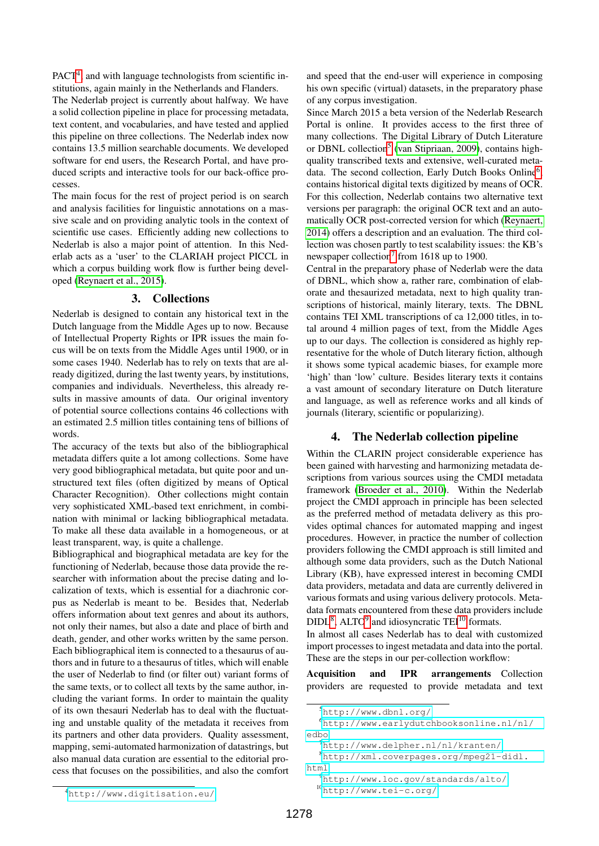PACT<sup>[4](#page-1-2)</sup>, and with language technologists from scientific institutions, again mainly in the Netherlands and Flanders.

The Nederlab project is currently about halfway. We have a solid collection pipeline in place for processing metadata, text content, and vocabularies, and have tested and applied this pipeline on three collections. The Nederlab index now contains 13.5 million searchable documents. We developed software for end users, the Research Portal, and have produced scripts and interactive tools for our back-office processes.

The main focus for the rest of project period is on search and analysis facilities for linguistic annotations on a massive scale and on providing analytic tools in the context of scientific use cases. Efficiently adding new collections to Nederlab is also a major point of attention. In this Nederlab acts as a 'user' to the CLARIAH project PICCL in which a corpus building work flow is further being developed [\(Reynaert et al., 2015\)](#page-4-4).

#### 3. Collections

<span id="page-1-1"></span>Nederlab is designed to contain any historical text in the Dutch language from the Middle Ages up to now. Because of Intellectual Property Rights or IPR issues the main focus will be on texts from the Middle Ages until 1900, or in some cases 1940. Nederlab has to rely on texts that are already digitized, during the last twenty years, by institutions, companies and individuals. Nevertheless, this already results in massive amounts of data. Our original inventory of potential source collections contains 46 collections with an estimated 2.5 million titles containing tens of billions of words.

The accuracy of the texts but also of the bibliographical metadata differs quite a lot among collections. Some have very good bibliographical metadata, but quite poor and unstructured text files (often digitized by means of Optical Character Recognition). Other collections might contain very sophisticated XML-based text enrichment, in combination with minimal or lacking bibliographical metadata. To make all these data available in a homogeneous, or at least transparent, way, is quite a challenge.

Bibliographical and biographical metadata are key for the functioning of Nederlab, because those data provide the researcher with information about the precise dating and localization of texts, which is essential for a diachronic corpus as Nederlab is meant to be. Besides that, Nederlab offers information about text genres and about its authors, not only their names, but also a date and place of birth and death, gender, and other works written by the same person. Each bibliographical item is connected to a thesaurus of authors and in future to a thesaurus of titles, which will enable the user of Nederlab to find (or filter out) variant forms of the same texts, or to collect all texts by the same author, including the variant forms. In order to maintain the quality of its own thesauri Nederlab has to deal with the fluctuating and unstable quality of the metadata it receives from its partners and other data providers. Quality assessment, mapping, semi-automated harmonization of datastrings, but also manual data curation are essential to the editorial process that focuses on the possibilities, and also the comfort and speed that the end-user will experience in composing his own specific (virtual) datasets, in the preparatory phase of any corpus investigation.

Since March 2015 a beta version of the Nederlab Research Portal is online. It provides access to the first three of many collections. The Digital Library of Dutch Literature or DBNL collection<sup>[5](#page-1-3)</sup> [\(van Stipriaan, 2009\)](#page-4-5), contains highquality transcribed texts and extensive, well-curated meta-data. The second collection, Early Dutch Books Online<sup>[6](#page-1-4)</sup>, contains historical digital texts digitized by means of OCR. For this collection, Nederlab contains two alternative text versions per paragraph: the original OCR text and an automatically OCR post-corrected version for which [\(Reynaert,](#page-4-6) [2014\)](#page-4-6) offers a description and an evaluation. The third collection was chosen partly to test scalability issues: the KB's newspaper collection<sup>[7](#page-1-5)</sup> from 1618 up to 1900.

Central in the preparatory phase of Nederlab were the data of DBNL, which show a, rather rare, combination of elaborate and thesaurized metadata, next to high quality transcriptions of historical, mainly literary, texts. The DBNL contains TEI XML transcriptions of ca 12,000 titles, in total around 4 million pages of text, from the Middle Ages up to our days. The collection is considered as highly representative for the whole of Dutch literary fiction, although it shows some typical academic biases, for example more 'high' than 'low' culture. Besides literary texts it contains a vast amount of secondary literature on Dutch literature and language, as well as reference works and all kinds of journals (literary, scientific or popularizing).

### 4. The Nederlab collection pipeline

<span id="page-1-0"></span>Within the CLARIN project considerable experience has been gained with harvesting and harmonizing metadata descriptions from various sources using the CMDI metadata framework [\(Broeder et al., 2010\)](#page-4-7). Within the Nederlab project the CMDI approach in principle has been selected as the preferred method of metadata delivery as this provides optimal chances for automated mapping and ingest procedures. However, in practice the number of collection providers following the CMDI approach is still limited and although some data providers, such as the Dutch National Library (KB), have expressed interest in becoming CMDI data providers, metadata and data are currently delivered in various formats and using various delivery protocols. Metadata formats encountered from these data providers include  $DIDL<sup>8</sup>$  $DIDL<sup>8</sup>$  $DIDL<sup>8</sup>$ , ALTO<sup>[9](#page-1-7)</sup> and idiosyncratic TEI<sup>[10](#page-1-8)</sup> formats.

In almost all cases Nederlab has to deal with customized import processes to ingest metadata and data into the portal. These are the steps in our per-collection workflow:

Acquisition and IPR arrangements Collection providers are requested to provide metadata and text

<span id="page-1-4"></span><span id="page-1-3"></span><sup>5</sup><http://www.dbnl.org/>

<sup>6</sup>[http://www.earlydutchbooksonline.nl/nl/](http://www.earlydutchbooksonline.nl/nl/edbo) [edbo](http://www.earlydutchbooksonline.nl/nl/edbo)

<span id="page-1-6"></span><span id="page-1-5"></span> $^{7}$ <http://www.delpher.nl/nl/kranten/>

<sup>8</sup>[http://xml.coverpages.org/mpeg21-didl.](http://xml.coverpages.org/mpeg21-didl.html) [html](http://xml.coverpages.org/mpeg21-didl.html)

<span id="page-1-8"></span><span id="page-1-7"></span><sup>9</sup><http://www.loc.gov/standards/alto/> <sup>10</sup><http://www.tei-c.org/>

<span id="page-1-2"></span><sup>4</sup><http://www.digitisation.eu/>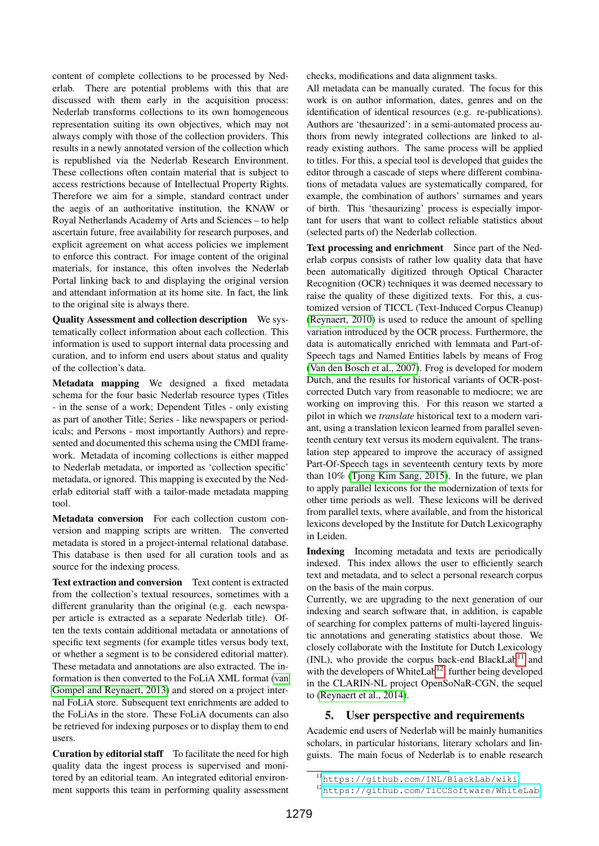content of complete collections to be processed by Nederlab. There are potential problems with this that are discussed with them early in the acquisition process: Nederlab transforms collections to its own homogeneous representation suiting its own objectives, which may not always comply with those of the collection providers. This results in a newly annotated version of the collection which is republished via the Nederlab Research Environment. These collections often contain material that is subject to access restrictions because of Intellectual Property Rights. Therefore we aim for a simple, standard contract under the aegis of an authoritative institution, the KNAW or Royal Netherlands Academy of Arts and Sciences – to help ascertain future, free availability for research purposes, and explicit agreement on what access policies we implement to enforce this contract. For image content of the original materials, for instance, this often involves the Nederlab Portal linking back to and displaying the original version and attendant information at its home site. In fact, the link to the original site is always there.

Quality Assessment and collection description We systematically collect information about each collection. This information is used to support internal data processing and curation, and to inform end users about status and quality of the collection's data.

Metadata mapping We designed a fixed metadata schema for the four basic Nederlab resource types (Titles - in the sense of a work; Dependent Titles - only existing as part of another Title; Series - like newspapers or periodicals; and Persons - most importantly Authors) and represented and documented this schema using the CMDI framework. Metadata of incoming collections is either mapped to Nederlab metadata, or imported as 'collection specific' metadata, or ignored. This mapping is executed by the Nederlab editorial staff with a tailor-made metadata mapping tool.

Metadata conversion For each collection custom conversion and mapping scripts are written. The converted metadata is stored in a project-internal relational database. This database is then used for all curation tools and as source for the indexing process.

Text extraction and conversion Text content is extracted from the collection's textual resources, sometimes with a different granularity than the original (e.g. each newspaper article is extracted as a separate Nederlab title). Often the texts contain additional metadata or annotations of specific text segments (for example titles versus body text, or whether a segment is to be considered editorial matter). These metadata and annotations are also extracted. The information is then converted to the FoLiA XML format [\(van](#page-4-8) [Gompel and Reynaert, 2013\)](#page-4-8) and stored on a project internal FoLiA store. Subsequent text enrichments are added to the FoLiAs in the store. These FoLiA documents can also be retrieved for indexing purposes or to display them to end users.

Curation by editorial staff To facilitate the need for high quality data the ingest process is supervised and monitored by an editorial team. An integrated editorial environment supports this team in performing quality assessment checks, modifications and data alignment tasks.

All metadata can be manually curated. The focus for this work is on author information, dates, genres and on the identification of identical resources (e.g. re-publications). Authors are 'thesaurized': in a semi-automated process authors from newly integrated collections are linked to already existing authors. The same process will be applied to titles. For this, a special tool is developed that guides the editor through a cascade of steps where different combinations of metadata values are systematically compared, for example, the combination of authors' surnames and years of birth. This 'thesaurizing' process is especially important for users that want to collect reliable statistics about (selected parts of) the Nederlab collection.

Text processing and enrichment Since part of the Nederlab corpus consists of rather low quality data that have been automatically digitized through Optical Character Recognition (OCR) techniques it was deemed necessary to raise the quality of these digitized texts. For this, a customized version of TICCL (Text-Induced Corpus Cleanup) [\(Reynaert, 2010\)](#page-4-9) is used to reduce the amount of spelling variation introduced by the OCR process. Furthermore, the data is automatically enriched with lemmata and Part-of-Speech tags and Named Entities labels by means of Frog [\(Van den Bosch et al., 2007\)](#page-4-10). Frog is developed for modern Dutch, and the results for historical variants of OCR-postcorrected Dutch vary from reasonable to mediocre; we are working on improving this. For this reason we started a pilot in which we *translate* historical text to a modern variant, using a translation lexicon learned from parallel seventeenth century text versus its modern equivalent. The translation step appeared to improve the accuracy of assigned Part-Of-Speech tags in seventeenth century texts by more than 10% [\(Tjong Kim Sang, 2015\)](#page-4-11). In the future, we plan to apply parallel lexicons for the modernization of texts for other time periods as well. These lexicons will be derived from parallel texts, where available, and from the historical lexicons developed by the Institute for Dutch Lexicography in Leiden.

Indexing Incoming metadata and texts are periodically indexed. This index allows the user to efficiently search text and metadata, and to select a personal research corpus on the basis of the main corpus.

Currently, we are upgrading to the next generation of our indexing and search software that, in addition, is capable of searching for complex patterns of multi-layered linguistic annotations and generating statistics about those. We closely collaborate with the Institute for Dutch Lexicology (INL), who provide the corpus back-end BlackLab<sup>[11](#page-2-1)</sup> and with the developers of WhiteLab<sup>[12](#page-2-2)</sup>, further being developed in the CLARIN-NL project OpenSoNaR-CGN, the sequel to [\(Reynaert et al., 2014\)](#page-4-12).

## <span id="page-2-0"></span>5. User perspective and requirements

Academic end users of Nederlab will be mainly humanities scholars, in particular historians, literary scholars and linguists. The main focus of Nederlab is to enable research

<span id="page-2-1"></span><sup>11</sup><https://github.com/INL/BlackLab/wiki>

<span id="page-2-2"></span><sup>12</sup><https://github.com/TiCCSoftware/WhiteLab>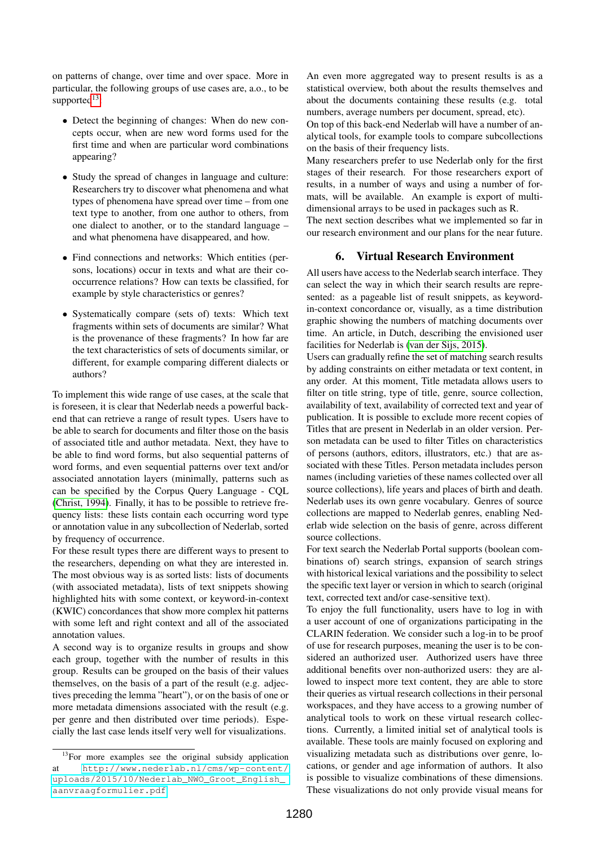on patterns of change, over time and over space. More in particular, the following groups of use cases are, a.o., to be supported $13$ :

- Detect the beginning of changes: When do new concepts occur, when are new word forms used for the first time and when are particular word combinations appearing?
- Study the spread of changes in language and culture: Researchers try to discover what phenomena and what types of phenomena have spread over time – from one text type to another, from one author to others, from one dialect to another, or to the standard language – and what phenomena have disappeared, and how.
- Find connections and networks: Which entities (persons, locations) occur in texts and what are their cooccurrence relations? How can texts be classified, for example by style characteristics or genres?
- Systematically compare (sets of) texts: Which text fragments within sets of documents are similar? What is the provenance of these fragments? In how far are the text characteristics of sets of documents similar, or different, for example comparing different dialects or authors?

To implement this wide range of use cases, at the scale that is foreseen, it is clear that Nederlab needs a powerful backend that can retrieve a range of result types. Users have to be able to search for documents and filter those on the basis of associated title and author metadata. Next, they have to be able to find word forms, but also sequential patterns of word forms, and even sequential patterns over text and/or associated annotation layers (minimally, patterns such as can be specified by the Corpus Query Language - CQL [\(Christ, 1994\)](#page-4-13). Finally, it has to be possible to retrieve frequency lists: these lists contain each occurring word type or annotation value in any subcollection of Nederlab, sorted by frequency of occurrence.

For these result types there are different ways to present to the researchers, depending on what they are interested in. The most obvious way is as sorted lists: lists of documents (with associated metadata), lists of text snippets showing highlighted hits with some context, or keyword-in-context (KWIC) concordances that show more complex hit patterns with some left and right context and all of the associated annotation values.

A second way is to organize results in groups and show each group, together with the number of results in this group. Results can be grouped on the basis of their values themselves, on the basis of a part of the result (e.g. adjectives preceding the lemma "heart"), or on the basis of one or more metadata dimensions associated with the result (e.g. per genre and then distributed over time periods). Especially the last case lends itself very well for visualizations.

An even more aggregated way to present results is as a statistical overview, both about the results themselves and about the documents containing these results (e.g. total numbers, average numbers per document, spread, etc).

On top of this back-end Nederlab will have a number of analytical tools, for example tools to compare subcollections on the basis of their frequency lists.

Many researchers prefer to use Nederlab only for the first stages of their research. For those researchers export of results, in a number of ways and using a number of formats, will be available. An example is export of multidimensional arrays to be used in packages such as R.

The next section describes what we implemented so far in our research environment and our plans for the near future.

### 6. Virtual Research Environment

<span id="page-3-0"></span>All users have access to the Nederlab search interface. They can select the way in which their search results are represented: as a pageable list of result snippets, as keywordin-context concordance or, visually, as a time distribution graphic showing the numbers of matching documents over time. An article, in Dutch, describing the envisioned user facilities for Nederlab is [\(van der Sijs, 2015\)](#page-4-14).

Users can gradually refine the set of matching search results by adding constraints on either metadata or text content, in any order. At this moment, Title metadata allows users to filter on title string, type of title, genre, source collection, availability of text, availability of corrected text and year of publication. It is possible to exclude more recent copies of Titles that are present in Nederlab in an older version. Person metadata can be used to filter Titles on characteristics of persons (authors, editors, illustrators, etc.) that are associated with these Titles. Person metadata includes person names (including varieties of these names collected over all source collections), life years and places of birth and death. Nederlab uses its own genre vocabulary. Genres of source collections are mapped to Nederlab genres, enabling Nederlab wide selection on the basis of genre, across different source collections.

For text search the Nederlab Portal supports (boolean combinations of) search strings, expansion of search strings with historical lexical variations and the possibility to select the specific text layer or version in which to search (original text, corrected text and/or case-sensitive text).

To enjoy the full functionality, users have to log in with a user account of one of organizations participating in the CLARIN federation. We consider such a log-in to be proof of use for research purposes, meaning the user is to be considered an authorized user. Authorized users have three additional benefits over non-authorized users: they are allowed to inspect more text content, they are able to store their queries as virtual research collections in their personal workspaces, and they have access to a growing number of analytical tools to work on these virtual research collections. Currently, a limited initial set of analytical tools is available. These tools are mainly focused on exploring and visualizing metadata such as distributions over genre, locations, or gender and age information of authors. It also is possible to visualize combinations of these dimensions. These visualizations do not only provide visual means for

<span id="page-3-1"></span><sup>&</sup>lt;sup>13</sup>For more examples see the original subsidy application at [http://www.nederlab.nl/cms/wp-content/](http://www.nederlab.nl/cms/wp-content/uploads/2015/10/Nederlab_NWO_Groot_English_aanvraagformulier.pdf) [uploads/2015/10/Nederlab\\_NWO\\_Groot\\_English\\_](http://www.nederlab.nl/cms/wp-content/uploads/2015/10/Nederlab_NWO_Groot_English_aanvraagformulier.pdf) [aanvraagformulier.pdf](http://www.nederlab.nl/cms/wp-content/uploads/2015/10/Nederlab_NWO_Groot_English_aanvraagformulier.pdf)